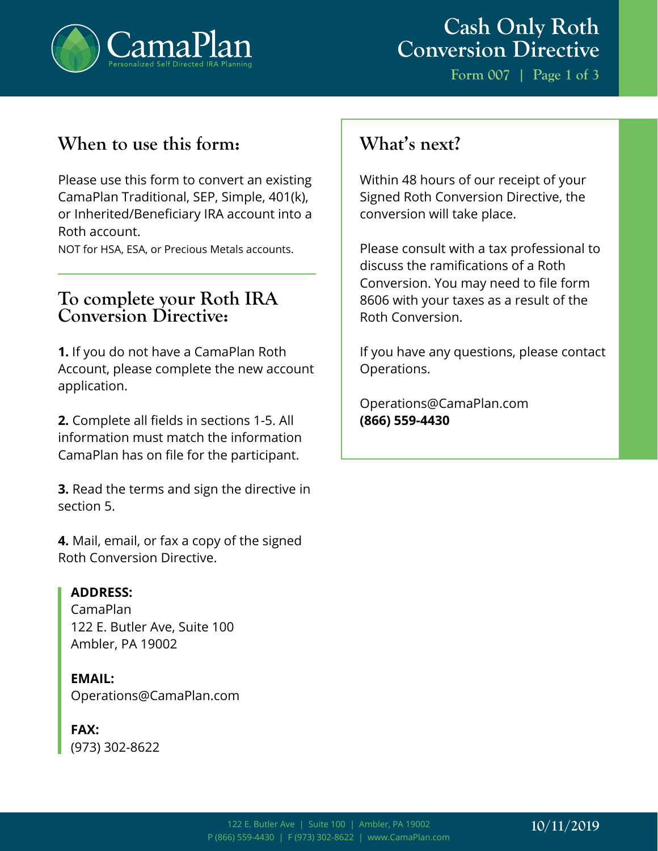

**Form 007 | Page 1 of 3**

# **When to use this form:**

Please use this form to convert an existing CamaPlan Traditional, SEP, Simple, 401(k), or Inherited/Beneficiary IRA account into a Roth account.

NOT for HSA, ESA, or Precious Metals accounts.

# **To complete your Roth IRA Conversion Directive:**

**1.** If you do not have a CamaPlan Roth Account, please complete the new account application.

**2.** Complete all fields in sections 1-5. All information must match the information CamaPlan has on file for the participant.

**3.** Read the terms and sign the directive in section 5.

**4.** Mail, email, or fax a copy of the signed Roth Conversion Directive.

## **ADDRESS:**

CamaPlan 122 E. Butler Ave, Suite 100 Ambler, PA 19002

**EMAIL:** Operations@CamaPlan.com

#### **FAX:** (973) 302-8622

# **What's next?**

Within 48 hours of our receipt of your Signed Roth Conversion Directive, the conversion will take place.

Please consult with a tax professional to discuss the ramifications of a Roth Conversion. You may need to file form 8606 with your taxes as a result of the Roth Conversion.

If you have any questions, please contact Operations.

Operations@CamaPlan.com **(866) 559-4430**

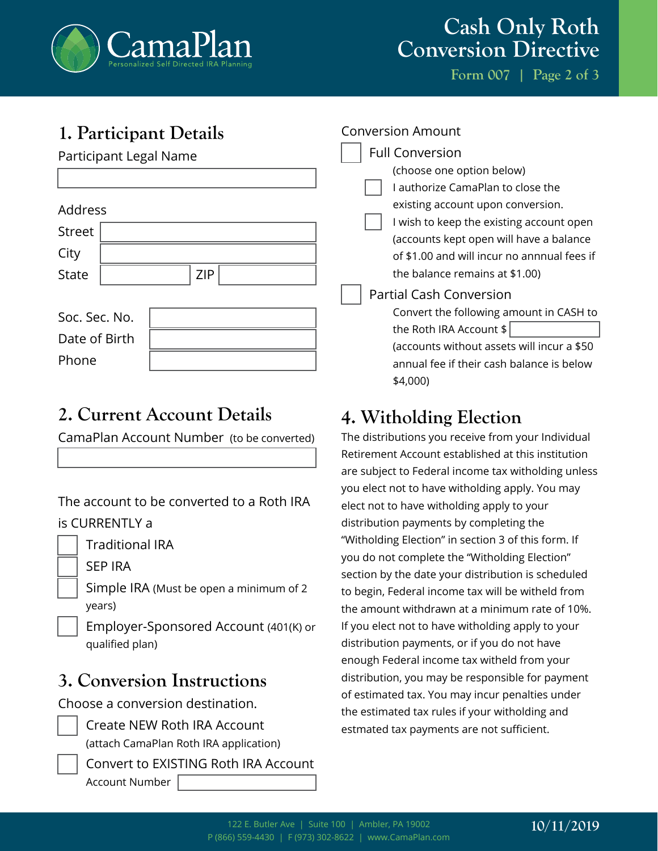

# **Cash Only Roth Conversion Directive**

**Form 007 | Page 2 of 3**

# **1. Participant Details**

Participant Legal Name

## Address

| <b>Street</b>        |                                    |            |  |  |
|----------------------|------------------------------------|------------|--|--|
| City                 |                                    |            |  |  |
| State                |                                    | <b>ZIP</b> |  |  |
|                      |                                    |            |  |  |
| Soc. Sec. No.        |                                    |            |  |  |
| $\sim$ $\sim$ $\sim$ | $\sim$ $\sim$ $\sim$ $\sim$ $\sim$ |            |  |  |

Date of Birth Phone

# **2. Current Account Details**

CamaPlan Account Number (to be converted)

The account to be converted to a Roth IRA is CURRENTLY a

Traditional IRA

SEP IRA

Simple IRA (Must be open a minimum of 2 years)

Employer-Sponsored Account (401(K) or qualified plan)

# **3. Conversion Instructions**

Choose a conversion destination.

| <b>Create NEW Roth IRA Account</b>     |
|----------------------------------------|
| (attach CamaPlan Roth IRA application) |

Convert to EXISTING Roth IRA Account Account Number

#### Conversion Amount

Full Conversion (choose one option below) I authorize CamaPlan to close the existing account upon conversion. I wish to keep the existing account open (accounts kept open will have a balance of \$1.00 and will incur no annnual fees if the balance remains at \$1.00) Partial Cash Conversion Convert the following amount in CASH to the Roth IRA Account \$ (accounts without assets will incur a \$50 annual fee if their cash balance is below

# **4. Witholding Election**

\$4,000)

The distributions you receive from your Individual Retirement Account established at this institution are subject to Federal income tax witholding unless you elect not to have witholding apply. You may elect not to have witholding apply to your distribution payments by completing the "Witholding Election" in section 3 of this form. If you do not complete the "Witholding Election" section by the date your distribution is scheduled to begin, Federal income tax will be witheld from the amount withdrawn at a minimum rate of 10%. If you elect not to have witholding apply to your distribution payments, or if you do not have enough Federal income tax witheld from your distribution, you may be responsible for payment of estimated tax. You may incur penalties under the estimated tax rules if your witholding and estmated tax payments are not sufficient.

# **10/11/2019**